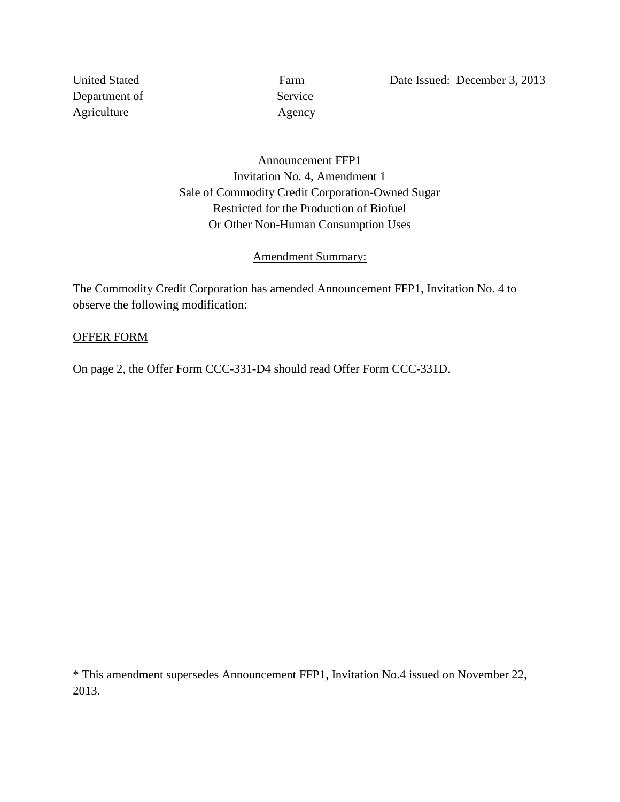Department of Service Agriculture Agency

United Stated Farm Date Issued: December 3, 2013

Announcement FFP1 Invitation No. 4, Amendment 1 Sale of Commodity Credit Corporation-Owned Sugar Restricted for the Production of Biofuel Or Other Non-Human Consumption Uses

#### Amendment Summary:

The Commodity Credit Corporation has amended Announcement FFP1, Invitation No. 4 to observe the following modification:

#### OFFER FORM

On page 2, the Offer Form CCC-331-D4 should read Offer Form CCC-331D.

\* This amendment supersedes Announcement FFP1, Invitation No.4 issued on November 22, 2013.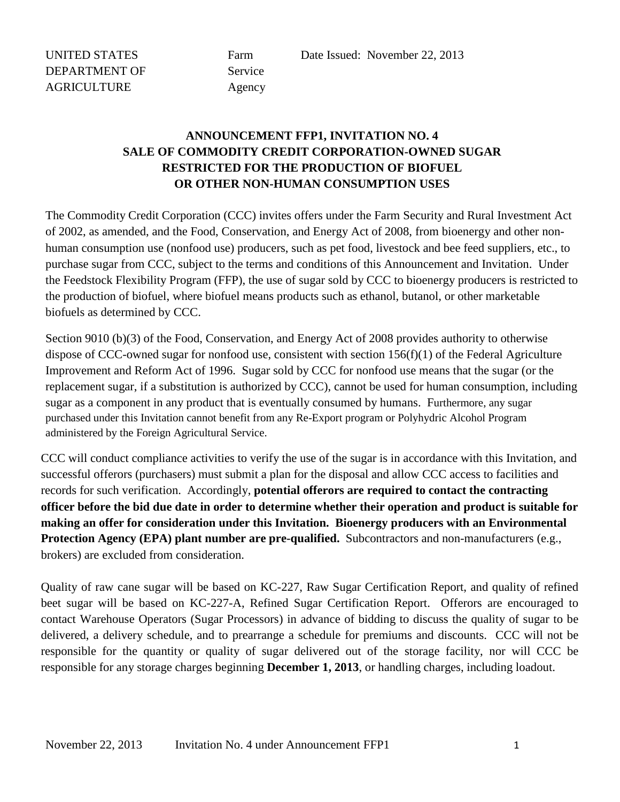UNITED STATES Farm Date Issued: November 22, 2013

## **ANNOUNCEMENT FFP1, INVITATION NO. 4 SALE OF COMMODITY CREDIT CORPORATION-OWNED SUGAR RESTRICTED FOR THE PRODUCTION OF BIOFUEL OR OTHER NON-HUMAN CONSUMPTION USES**

The Commodity Credit Corporation (CCC) invites offers under the Farm Security and Rural Investment Act of 2002, as amended, and the Food, Conservation, and Energy Act of 2008, from bioenergy and other nonhuman consumption use (nonfood use) producers, such as pet food, livestock and bee feed suppliers, etc., to purchase sugar from CCC, subject to the terms and conditions of this Announcement and Invitation. Under the Feedstock Flexibility Program (FFP), the use of sugar sold by CCC to bioenergy producers is restricted to the production of biofuel, where biofuel means products such as ethanol, butanol, or other marketable biofuels as determined by CCC.

Section 9010 (b)(3) of the Food, Conservation, and Energy Act of 2008 provides authority to otherwise dispose of CCC-owned sugar for nonfood use, consistent with section  $156(f)(1)$  of the Federal Agriculture Improvement and Reform Act of 1996. Sugar sold by CCC for nonfood use means that the sugar (or the replacement sugar, if a substitution is authorized by CCC), cannot be used for human consumption, including sugar as a component in any product that is eventually consumed by humans. Furthermore, any sugar purchased under this Invitation cannot benefit from any Re-Export program or Polyhydric Alcohol Program administered by the Foreign Agricultural Service.

CCC will conduct compliance activities to verify the use of the sugar is in accordance with this Invitation, and successful offerors (purchasers) must submit a plan for the disposal and allow CCC access to facilities and records for such verification. Accordingly, **potential offerors are required to contact the contracting officer before the bid due date in order to determine whether their operation and product is suitable for making an offer for consideration under this Invitation. Bioenergy producers with an Environmental Protection Agency (EPA) plant number are pre-qualified.** Subcontractors and non-manufacturers (e.g., brokers) are excluded from consideration.

Quality of raw cane sugar will be based on KC-227, Raw Sugar Certification Report, and quality of refined beet sugar will be based on KC-227-A, Refined Sugar Certification Report. Offerors are encouraged to contact Warehouse Operators (Sugar Processors) in advance of bidding to discuss the quality of sugar to be delivered, a delivery schedule, and to prearrange a schedule for premiums and discounts. CCC will not be responsible for the quantity or quality of sugar delivered out of the storage facility, nor will CCC be responsible for any storage charges beginning **December 1, 2013**, or handling charges, including loadout.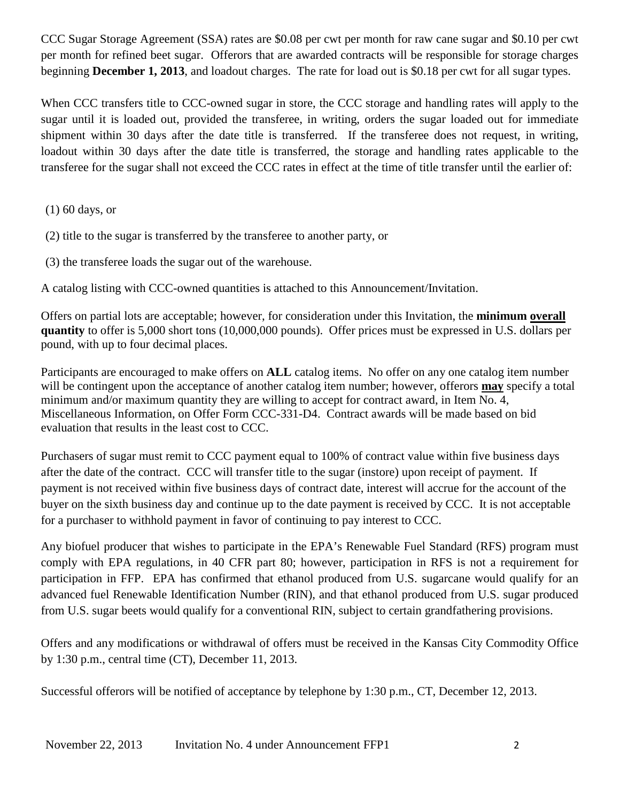CCC Sugar Storage Agreement (SSA) rates are \$0.08 per cwt per month for raw cane sugar and \$0.10 per cwt per month for refined beet sugar. Offerors that are awarded contracts will be responsible for storage charges beginning **December 1, 2013**, and loadout charges. The rate for load out is \$0.18 per cwt for all sugar types.

When CCC transfers title to CCC-owned sugar in store, the CCC storage and handling rates will apply to the sugar until it is loaded out, provided the transferee, in writing, orders the sugar loaded out for immediate shipment within 30 days after the date title is transferred. If the transferee does not request, in writing, loadout within 30 days after the date title is transferred, the storage and handling rates applicable to the transferee for the sugar shall not exceed the CCC rates in effect at the time of title transfer until the earlier of:

- (1) 60 days, or
- (2) title to the sugar is transferred by the transferee to another party, or
- (3) the transferee loads the sugar out of the warehouse.

A catalog listing with CCC-owned quantities is attached to this Announcement/Invitation.

Offers on partial lots are acceptable; however, for consideration under this Invitation, the **minimum overall quantity** to offer is 5,000 short tons (10,000,000 pounds). Offer prices must be expressed in U.S. dollars per pound, with up to four decimal places.

Participants are encouraged to make offers on **ALL** catalog items. No offer on any one catalog item number will be contingent upon the acceptance of another catalog item number; however, offerors **may** specify a total minimum and/or maximum quantity they are willing to accept for contract award, in Item No. 4, Miscellaneous Information, on Offer Form CCC-331-D4. Contract awards will be made based on bid evaluation that results in the least cost to CCC.

Purchasers of sugar must remit to CCC payment equal to 100% of contract value within five business days after the date of the contract. CCC will transfer title to the sugar (instore) upon receipt of payment. If payment is not received within five business days of contract date, interest will accrue for the account of the buyer on the sixth business day and continue up to the date payment is received by CCC. It is not acceptable for a purchaser to withhold payment in favor of continuing to pay interest to CCC.

Any biofuel producer that wishes to participate in the EPA's Renewable Fuel Standard (RFS) program must comply with EPA regulations, in 40 CFR part 80; however, participation in RFS is not a requirement for participation in FFP. EPA has confirmed that ethanol produced from U.S. sugarcane would qualify for an advanced fuel Renewable Identification Number (RIN), and that ethanol produced from U.S. sugar produced from U.S. sugar beets would qualify for a conventional RIN, subject to certain grandfathering provisions.

Offers and any modifications or withdrawal of offers must be received in the Kansas City Commodity Office by 1:30 p.m., central time (CT), December 11, 2013.

Successful offerors will be notified of acceptance by telephone by 1:30 p.m., CT, December 12, 2013.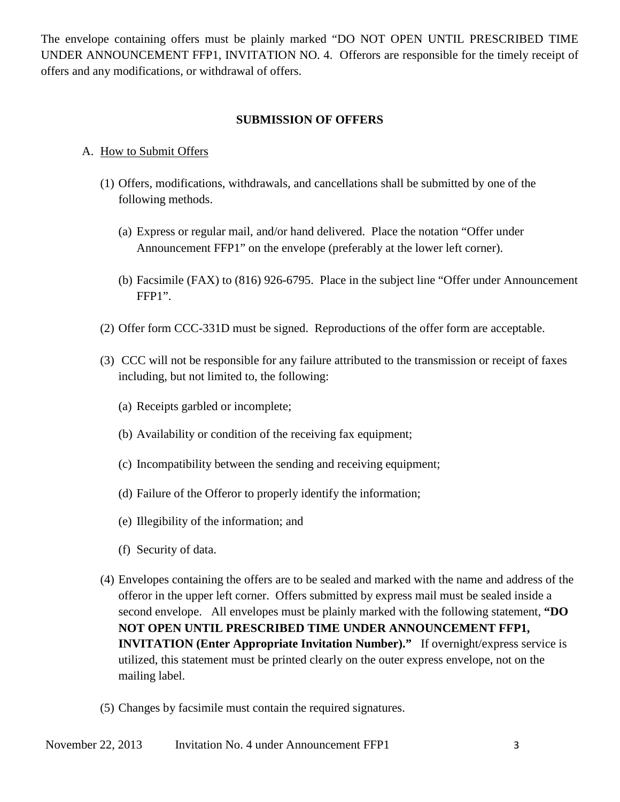The envelope containing offers must be plainly marked "DO NOT OPEN UNTIL PRESCRIBED TIME UNDER ANNOUNCEMENT FFP1, INVITATION NO. 4. Offerors are responsible for the timely receipt of offers and any modifications, or withdrawal of offers.

## **SUBMISSION OF OFFERS**

#### A. How to Submit Offers

- (1) Offers, modifications, withdrawals, and cancellations shall be submitted by one of the following methods.
	- (a) Express or regular mail, and/or hand delivered. Place the notation "Offer under Announcement FFP1" on the envelope (preferably at the lower left corner).
	- (b) Facsimile (FAX) to (816) 926-6795. Place in the subject line "Offer under Announcement FFP1".
- (2) Offer form CCC-331D must be signed. Reproductions of the offer form are acceptable.
- (3) CCC will not be responsible for any failure attributed to the transmission or receipt of faxes including, but not limited to, the following:
	- (a) Receipts garbled or incomplete;
	- (b) Availability or condition of the receiving fax equipment;
	- (c) Incompatibility between the sending and receiving equipment;
	- (d) Failure of the Offeror to properly identify the information;
	- (e) Illegibility of the information; and
	- (f) Security of data.
- (4) Envelopes containing the offers are to be sealed and marked with the name and address of the offeror in the upper left corner. Offers submitted by express mail must be sealed inside a second envelope. All envelopes must be plainly marked with the following statement, **"DO NOT OPEN UNTIL PRESCRIBED TIME UNDER ANNOUNCEMENT FFP1, INVITATION (Enter Appropriate Invitation Number)."** If overnight/express service is utilized, this statement must be printed clearly on the outer express envelope, not on the mailing label.
- (5) Changes by facsimile must contain the required signatures.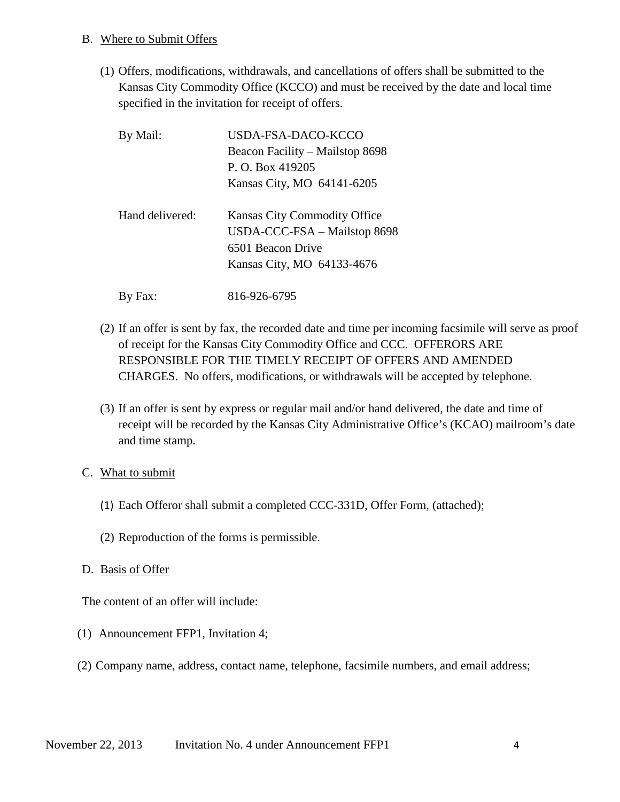#### B. Where to Submit Offers

(1) Offers, modifications, withdrawals, and cancellations of offers shall be submitted to the Kansas City Commodity Office (KCCO) and must be received by the date and local time specified in the invitation for receipt of offers.

| By Mail:        | USDA-FSA-DACO-KCCO<br>Beacon Facility – Mailstop 8698<br>P. O. Box 419205<br>Kansas City, MO 64141-6205         |
|-----------------|-----------------------------------------------------------------------------------------------------------------|
| Hand delivered: | Kansas City Commodity Office<br>USDA-CCC-FSA - Mailstop 8698<br>6501 Beacon Drive<br>Kansas City, MO 64133-4676 |
| By Fax:         | 816-926-6795                                                                                                    |

- (2) If an offer is sent by fax, the recorded date and time per incoming facsimile will serve as proof of receipt for the Kansas City Commodity Office and CCC. OFFERORS ARE RESPONSIBLE FOR THE TIMELY RECEIPT OF OFFERS AND AMENDED CHARGES. No offers, modifications, or withdrawals will be accepted by telephone.
- (3) If an offer is sent by express or regular mail and/or hand delivered, the date and time of receipt will be recorded by the Kansas City Administrative Office's (KCAO) mailroom's date and time stamp.

## C. What to submit

- (1) Each Offeror shall submit a completed CCC-331D, Offer Form, (attached);
- (2) Reproduction of the forms is permissible.
- D. Basis of Offer

The content of an offer will include:

- (1) Announcement FFP1, Invitation 4;
- (2) Company name, address, contact name, telephone, facsimile numbers, and email address;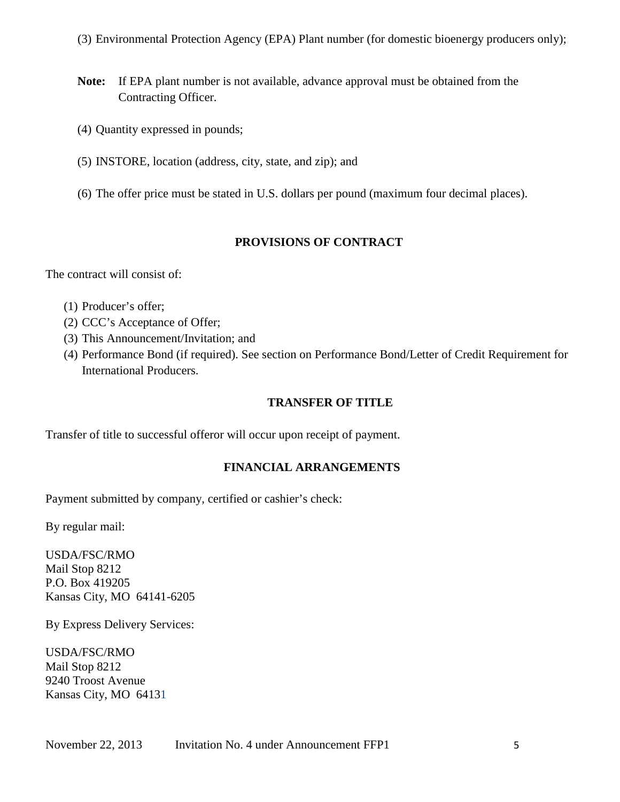(3) Environmental Protection Agency (EPA) Plant number (for domestic bioenergy producers only);

- **Note:** If EPA plant number is not available, advance approval must be obtained from the Contracting Officer.
- (4) Quantity expressed in pounds;
- (5) INSTORE, location (address, city, state, and zip); and
- (6) The offer price must be stated in U.S. dollars per pound (maximum four decimal places).

## **PROVISIONS OF CONTRACT**

The contract will consist of:

- (1) Producer's offer;
- (2) CCC's Acceptance of Offer;
- (3) This Announcement/Invitation; and
- (4) Performance Bond (if required). See section on Performance Bond/Letter of Credit Requirement for International Producers.

## **TRANSFER OF TITLE**

Transfer of title to successful offeror will occur upon receipt of payment.

## **FINANCIAL ARRANGEMENTS**

Payment submitted by company, certified or cashier's check:

By regular mail:

USDA/FSC/RMO Mail Stop 8212 P.O. Box 419205 Kansas City, MO 64141-6205

By Express Delivery Services:

USDA/FSC/RMO Mail Stop 8212 9240 Troost Avenue Kansas City, MO 64131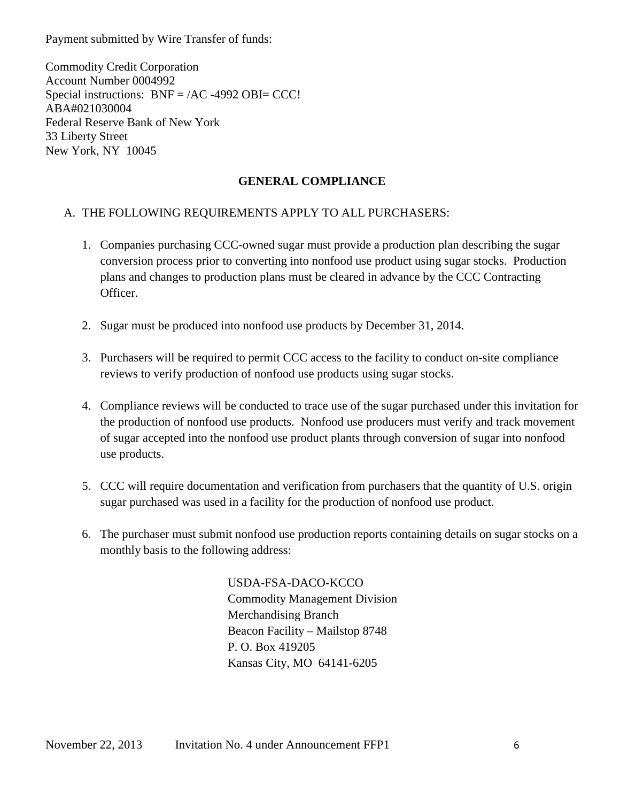Payment submitted by Wire Transfer of funds:

Commodity Credit Corporation Account Number 0004992 Special instructions: BNF = /AC -4992 OBI= CCC! ABA#021030004 Federal Reserve Bank of New York 33 Liberty Street New York, NY 10045

## **GENERAL COMPLIANCE**

## A. THE FOLLOWING REQUIREMENTS APPLY TO ALL PURCHASERS:

- 1. Companies purchasing CCC-owned sugar must provide a production plan describing the sugar conversion process prior to converting into nonfood use product using sugar stocks. Production plans and changes to production plans must be cleared in advance by the CCC Contracting Officer.
- 2. Sugar must be produced into nonfood use products by December 31, 2014.
- 3. Purchasers will be required to permit CCC access to the facility to conduct on-site compliance reviews to verify production of nonfood use products using sugar stocks.
- 4. Compliance reviews will be conducted to trace use of the sugar purchased under this invitation for the production of nonfood use products. Nonfood use producers must verify and track movement of sugar accepted into the nonfood use product plants through conversion of sugar into nonfood use products.
- 5. CCC will require documentation and verification from purchasers that the quantity of U.S. origin sugar purchased was used in a facility for the production of nonfood use product.
- 6. The purchaser must submit nonfood use production reports containing details on sugar stocks on a monthly basis to the following address:

USDA-FSA-DACO-KCCO Commodity Management Division Merchandising Branch Beacon Facility – Mailstop 8748 P. O. Box 419205 Kansas City, MO 64141-6205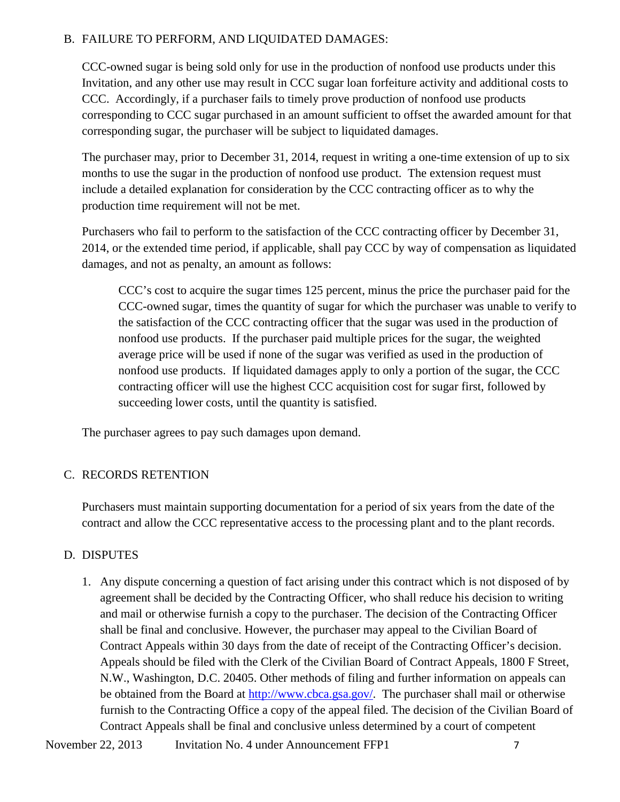## B. FAILURE TO PERFORM, AND LIQUIDATED DAMAGES:

CCC-owned sugar is being sold only for use in the production of nonfood use products under this Invitation, and any other use may result in CCC sugar loan forfeiture activity and additional costs to CCC. Accordingly, if a purchaser fails to timely prove production of nonfood use products corresponding to CCC sugar purchased in an amount sufficient to offset the awarded amount for that corresponding sugar, the purchaser will be subject to liquidated damages.

The purchaser may, prior to December 31, 2014, request in writing a one-time extension of up to six months to use the sugar in the production of nonfood use product. The extension request must include a detailed explanation for consideration by the CCC contracting officer as to why the production time requirement will not be met.

Purchasers who fail to perform to the satisfaction of the CCC contracting officer by December 31, 2014, or the extended time period, if applicable, shall pay CCC by way of compensation as liquidated damages, and not as penalty, an amount as follows:

CCC's cost to acquire the sugar times 125 percent, minus the price the purchaser paid for the CCC-owned sugar, times the quantity of sugar for which the purchaser was unable to verify to the satisfaction of the CCC contracting officer that the sugar was used in the production of nonfood use products. If the purchaser paid multiple prices for the sugar, the weighted average price will be used if none of the sugar was verified as used in the production of nonfood use products. If liquidated damages apply to only a portion of the sugar, the CCC contracting officer will use the highest CCC acquisition cost for sugar first, followed by succeeding lower costs, until the quantity is satisfied.

The purchaser agrees to pay such damages upon demand.

## C. RECORDS RETENTION

Purchasers must maintain supporting documentation for a period of six years from the date of the contract and allow the CCC representative access to the processing plant and to the plant records.

## D. DISPUTES

1. Any dispute concerning a question of fact arising under this contract which is not disposed of by agreement shall be decided by the Contracting Officer, who shall reduce his decision to writing and mail or otherwise furnish a copy to the purchaser. The decision of the Contracting Officer shall be final and conclusive. However, the purchaser may appeal to the Civilian Board of Contract Appeals within 30 days from the date of receipt of the Contracting Officer's decision. Appeals should be filed with the Clerk of the Civilian Board of Contract Appeals, 1800 F Street, N.W., Washington, D.C. 20405. Other methods of filing and further information on appeals can be obtained from the Board at [http://www.cbca.gsa.gov/.](http://www.cbca.gsa.gov/) The purchaser shall mail or otherwise furnish to the Contracting Office a copy of the appeal filed. The decision of the Civilian Board of Contract Appeals shall be final and conclusive unless determined by a court of competent

November 22, 2013 Invitation No. 4 under Announcement FFP1 7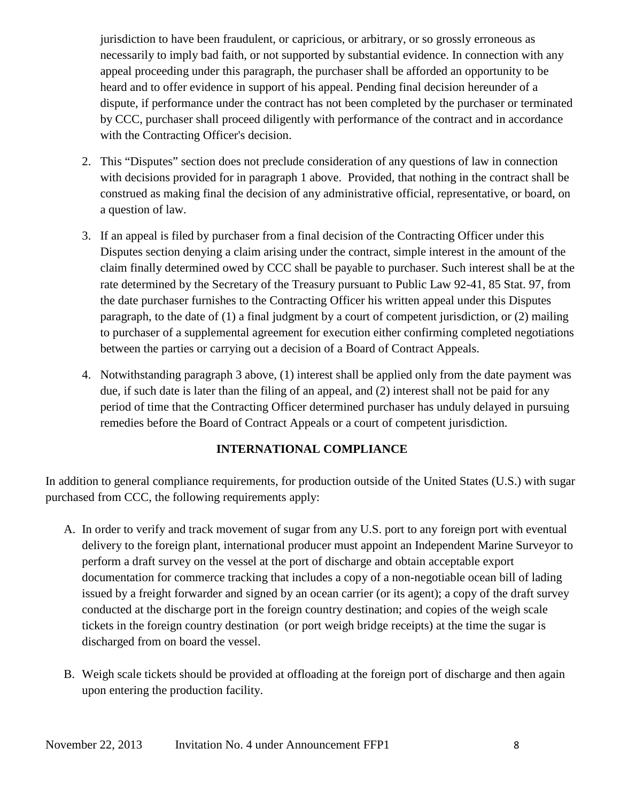jurisdiction to have been fraudulent, or capricious, or arbitrary, or so grossly erroneous as necessarily to imply bad faith, or not supported by substantial evidence. In connection with any appeal proceeding under this paragraph, the purchaser shall be afforded an opportunity to be heard and to offer evidence in support of his appeal. Pending final decision hereunder of a dispute, if performance under the contract has not been completed by the purchaser or terminated by CCC, purchaser shall proceed diligently with performance of the contract and in accordance with the Contracting Officer's decision.

- 2. This "Disputes" section does not preclude consideration of any questions of law in connection with decisions provided for in paragraph 1 above. Provided, that nothing in the contract shall be construed as making final the decision of any administrative official, representative, or board, on a question of law.
- 3. If an appeal is filed by purchaser from a final decision of the Contracting Officer under this Disputes section denying a claim arising under the contract, simple interest in the amount of the claim finally determined owed by CCC shall be payable to purchaser. Such interest shall be at the rate determined by the Secretary of the Treasury pursuant to Public Law 92-41, 85 Stat. 97, from the date purchaser furnishes to the Contracting Officer his written appeal under this Disputes paragraph, to the date of (1) a final judgment by a court of competent jurisdiction, or (2) mailing to purchaser of a supplemental agreement for execution either confirming completed negotiations between the parties or carrying out a decision of a Board of Contract Appeals.
- 4. Notwithstanding paragraph 3 above, (1) interest shall be applied only from the date payment was due, if such date is later than the filing of an appeal, and (2) interest shall not be paid for any period of time that the Contracting Officer determined purchaser has unduly delayed in pursuing remedies before the Board of Contract Appeals or a court of competent jurisdiction.

## **INTERNATIONAL COMPLIANCE**

In addition to general compliance requirements, for production outside of the United States (U.S.) with sugar purchased from CCC, the following requirements apply:

- A. In order to verify and track movement of sugar from any U.S. port to any foreign port with eventual delivery to the foreign plant, international producer must appoint an Independent Marine Surveyor to perform a draft survey on the vessel at the port of discharge and obtain acceptable export documentation for commerce tracking that includes a copy of a non-negotiable ocean bill of lading issued by a freight forwarder and signed by an ocean carrier (or its agent); a copy of the draft survey conducted at the discharge port in the foreign country destination; and copies of the weigh scale tickets in the foreign country destination (or port weigh bridge receipts) at the time the sugar is discharged from on board the vessel.
- B. Weigh scale tickets should be provided at offloading at the foreign port of discharge and then again upon entering the production facility.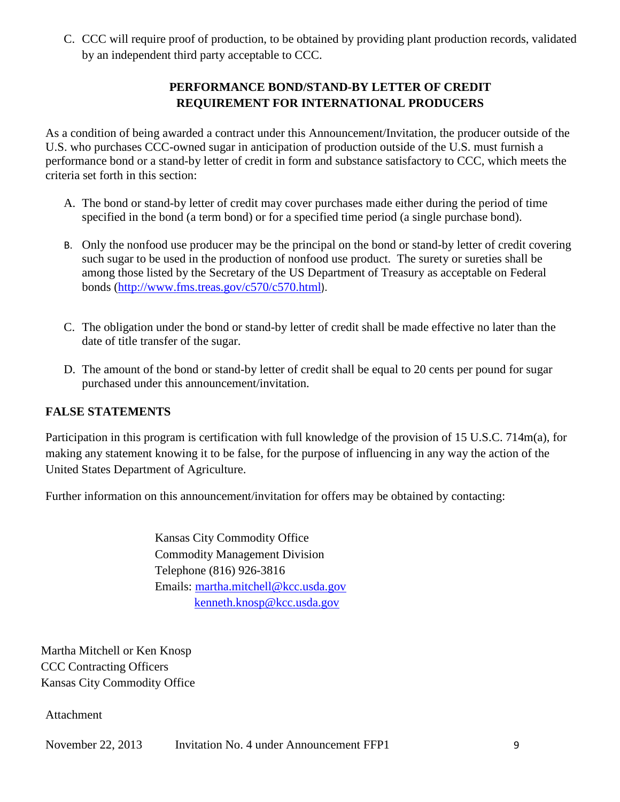C. CCC will require proof of production, to be obtained by providing plant production records, validated by an independent third party acceptable to CCC.

## **PERFORMANCE BOND/STAND-BY LETTER OF CREDIT REQUIREMENT FOR INTERNATIONAL PRODUCERS**

As a condition of being awarded a contract under this Announcement/Invitation, the producer outside of the U.S. who purchases CCC-owned sugar in anticipation of production outside of the U.S. must furnish a performance bond or a stand-by letter of credit in form and substance satisfactory to CCC, which meets the criteria set forth in this section:

- A. The bond or stand-by letter of credit may cover purchases made either during the period of time specified in the bond (a term bond) or for a specified time period (a single purchase bond).
- B. Only the nonfood use producer may be the principal on the bond or stand-by letter of credit covering such sugar to be used in the production of nonfood use product. The surety or sureties shall be among those listed by the Secretary of the US Department of Treasury as acceptable on Federal bonds [\(http://www.fms.treas.gov/c570/c570.html](http://www.fms.treas.gov/c570/c570.html)).
- C. The obligation under the bond or stand-by letter of credit shall be made effective no later than the date of title transfer of the sugar.
- D. The amount of the bond or stand-by letter of credit shall be equal to 20 cents per pound for sugar purchased under this announcement/invitation.

## **FALSE STATEMENTS**

Participation in this program is certification with full knowledge of the provision of 15 U.S.C. 714m(a), for making any statement knowing it to be false, for the purpose of influencing in any way the action of the United States Department of Agriculture.

Further information on this announcement/invitation for offers may be obtained by contacting:

Kansas City Commodity Office Commodity Management Division Telephone (816) 926-3816 Emails: [martha.mitchell@kcc.usda.gov](mailto:martha.mitchell@kcc.usda.gov) [kenneth.knosp@kcc.usda.gov](mailto:kenneth.knosp@kcc.usda.gov)

Martha Mitchell or Ken Knosp CCC Contracting Officers Kansas City Commodity Office

Attachment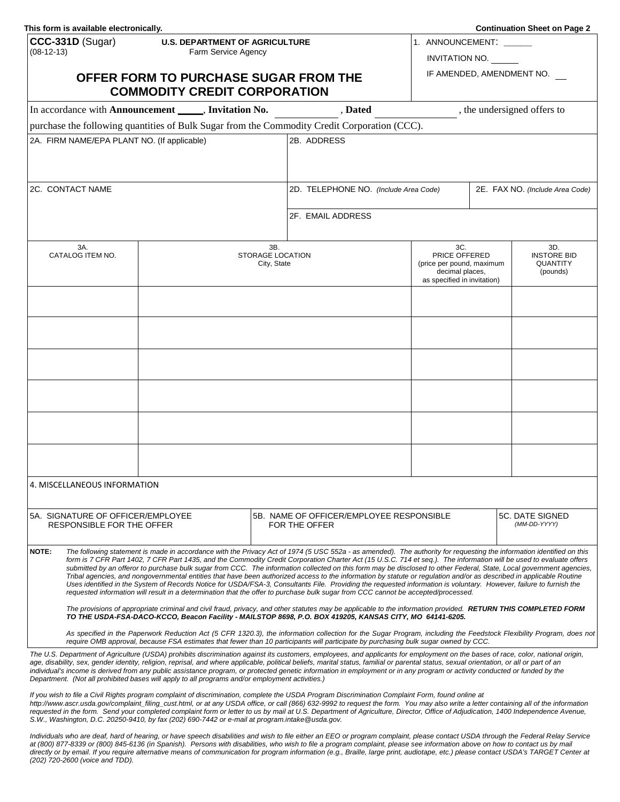| This form is available electronically.                    |                                       |                                       |                                                                                                                                                                                                                                                                                                                                                                               |                                              |                                 | <b>Continuation Sheet on Page 2</b> |
|-----------------------------------------------------------|---------------------------------------|---------------------------------------|-------------------------------------------------------------------------------------------------------------------------------------------------------------------------------------------------------------------------------------------------------------------------------------------------------------------------------------------------------------------------------|----------------------------------------------|---------------------------------|-------------------------------------|
| CCC-331D (Sugar)                                          | <b>U.S. DEPARTMENT OF AGRICULTURE</b> |                                       |                                                                                                                                                                                                                                                                                                                                                                               | 1. ANNOUNCEMENT:                             |                                 |                                     |
| $(08-12-13)$                                              | Farm Service Agency                   |                                       |                                                                                                                                                                                                                                                                                                                                                                               | INVITATION NO.                               |                                 |                                     |
|                                                           | OFFER FORM TO PURCHASE SUGAR FROM THE |                                       |                                                                                                                                                                                                                                                                                                                                                                               |                                              |                                 | IF AMENDED, AMENDMENT NO.           |
|                                                           | <b>COMMODITY CREDIT CORPORATION</b>   |                                       |                                                                                                                                                                                                                                                                                                                                                                               |                                              |                                 |                                     |
| In accordance with Announcement ______, Invitation No.    |                                       |                                       | , Dated                                                                                                                                                                                                                                                                                                                                                                       |                                              |                                 | , the undersigned offers to         |
|                                                           |                                       |                                       | purchase the following quantities of Bulk Sugar from the Commodity Credit Corporation (CCC).                                                                                                                                                                                                                                                                                  |                                              |                                 |                                     |
| 2A. FIRM NAME/EPA PLANT NO. (If applicable)               |                                       |                                       | 2B. ADDRESS                                                                                                                                                                                                                                                                                                                                                                   |                                              |                                 |                                     |
|                                                           |                                       |                                       |                                                                                                                                                                                                                                                                                                                                                                               |                                              |                                 |                                     |
|                                                           |                                       |                                       |                                                                                                                                                                                                                                                                                                                                                                               |                                              |                                 |                                     |
| 2C. CONTACT NAME                                          |                                       | 2D. TELEPHONE NO. (Include Area Code) |                                                                                                                                                                                                                                                                                                                                                                               |                                              | 2E. FAX NO. (Include Area Code) |                                     |
|                                                           |                                       |                                       |                                                                                                                                                                                                                                                                                                                                                                               |                                              |                                 |                                     |
|                                                           |                                       |                                       | 2F. EMAIL ADDRESS                                                                                                                                                                                                                                                                                                                                                             |                                              |                                 |                                     |
|                                                           |                                       |                                       |                                                                                                                                                                                                                                                                                                                                                                               |                                              |                                 |                                     |
| 3A.<br>3B.<br>CATALOG ITEM NO.<br><b>STORAGE LOCATION</b> |                                       |                                       |                                                                                                                                                                                                                                                                                                                                                                               | 3C.<br>PRICE OFFERED                         |                                 | 3D.<br><b>INSTORE BID</b>           |
|                                                           |                                       | City, State                           |                                                                                                                                                                                                                                                                                                                                                                               | (price per pound, maximum<br>decimal places, |                                 | QUANTITY<br>(pounds)                |
|                                                           |                                       |                                       |                                                                                                                                                                                                                                                                                                                                                                               | as specified in invitation)                  |                                 |                                     |
|                                                           |                                       |                                       |                                                                                                                                                                                                                                                                                                                                                                               |                                              |                                 |                                     |
|                                                           |                                       |                                       |                                                                                                                                                                                                                                                                                                                                                                               |                                              |                                 |                                     |
|                                                           |                                       |                                       |                                                                                                                                                                                                                                                                                                                                                                               |                                              |                                 |                                     |
|                                                           |                                       |                                       |                                                                                                                                                                                                                                                                                                                                                                               |                                              |                                 |                                     |
|                                                           |                                       |                                       |                                                                                                                                                                                                                                                                                                                                                                               |                                              |                                 |                                     |
|                                                           |                                       |                                       |                                                                                                                                                                                                                                                                                                                                                                               |                                              |                                 |                                     |
|                                                           |                                       |                                       |                                                                                                                                                                                                                                                                                                                                                                               |                                              |                                 |                                     |
|                                                           |                                       |                                       |                                                                                                                                                                                                                                                                                                                                                                               |                                              |                                 |                                     |
|                                                           |                                       |                                       |                                                                                                                                                                                                                                                                                                                                                                               |                                              |                                 |                                     |
|                                                           |                                       |                                       |                                                                                                                                                                                                                                                                                                                                                                               |                                              |                                 |                                     |
| 4. MISCELLANEOUS INFORMATION                              |                                       |                                       |                                                                                                                                                                                                                                                                                                                                                                               |                                              |                                 |                                     |
|                                                           |                                       |                                       |                                                                                                                                                                                                                                                                                                                                                                               |                                              |                                 |                                     |
| 5A. SIGNATURE OF OFFICER/EMPLOYEE                         |                                       |                                       | 5B. NAME OF OFFICER/EMPLOYEE RESPONSIBLE                                                                                                                                                                                                                                                                                                                                      |                                              |                                 | 5C. DATE SIGNED                     |
| RESPONSIBLE FOR THE OFFER                                 |                                       |                                       | FOR THE OFFER                                                                                                                                                                                                                                                                                                                                                                 |                                              |                                 | (MM-DD-YYYY)                        |
| NOTE:                                                     |                                       |                                       | The following statement is made in accordance with the Privacy Act of 1974 (5 USC 552a - as amended). The authority for requesting the information identified on this                                                                                                                                                                                                         |                                              |                                 |                                     |
|                                                           |                                       |                                       | form is 7 CFR Part 1402, 7 CFR Part 1435, and the Commodity Credit Corporation Charter Act (15 U.S.C. 714 et seq.). The information will be used to evaluate offers<br>submitted by an offeror to purchase bulk sugar from CCC. The information collected on this form may be disclosed to other Federal, State, Local government agencies,                                   |                                              |                                 |                                     |
|                                                           |                                       |                                       | Tribal agencies, and nongovernmental entities that have been authorized access to the information by statute or regulation and/or as described in applicable Routine<br>Uses identified in the System of Records Notice for USDA/FSA-3, Consultants File. Providing the requested information is voluntary. However, failure to furnish the                                   |                                              |                                 |                                     |
|                                                           |                                       |                                       | requested information will result in a determination that the offer to purchase bulk sugar from CCC cannot be accepted/processed.                                                                                                                                                                                                                                             |                                              |                                 |                                     |
|                                                           |                                       |                                       | The provisions of appropriate criminal and civil fraud, privacy, and other statutes may be applicable to the information provided. RETURN THIS COMPLETED FORM<br>TO THE USDA-FSA-DACO-KCCO, Beacon Facility - MAILSTOP 8698, P.O. BOX 419205, KANSAS CITY, MO 64141-6205.                                                                                                     |                                              |                                 |                                     |
|                                                           |                                       |                                       | As specified in the Paperwork Reduction Act (5 CFR 1320.3), the information collection for the Sugar Program, including the Feedstock Flexibility Program, does not                                                                                                                                                                                                           |                                              |                                 |                                     |
|                                                           |                                       |                                       | require OMB approval, because FSA estimates that fewer than 10 participants will participate by purchasing bulk sugar owned by CCC.                                                                                                                                                                                                                                           |                                              |                                 |                                     |
|                                                           |                                       |                                       | The U.S. Department of Agriculture (USDA) prohibits discrimination against its customers, employees, and applicants for employment on the bases of race, color, national origin,<br>age, disability, sex, gender identity, religion, reprisal, and where applicable, political beliefs, marital status, familial or parental status, sexual orientation, or all or part of an |                                              |                                 |                                     |

*age, disability, sex, gender identity, religion, reprisal, and where applicable, political beliefs, marital status, familial or parental status, sexual orientation, or all or part of an individual's income is derived from any public assistance program, or protected genetic information in employment or in any program or activity conducted or funded by the Department. (Not all prohibited bases will apply to all programs and/or employment activities.)* 

*If you wish to file a Civil Rights program complaint of discrimination, complete the USDA Program Discrimination Complaint Form, found online at [http://www.ascr.usda.gov/complaint\\_filing\\_cust.html,](http://www.ascr.usda.gov/complaint_filing_cust.html) or at any USDA office, or call (866) 632-9992 to request the form. You may also write a letter containing all of the information requested in the form. Send your completed complaint form or letter to us by mail at U.S. Department of Agriculture, Director, Office of Adjudication, 1400 Independence Avenue, S.W., Washington, D.C. 20250-9410, by fax (202) 690-7442 or e-mail at [program.intake@usda.gov.](mailto:program.intake@usda.gov)* 

*Individuals who are deaf, hard of hearing, or have speech disabilities and wish to file either an EEO or program complaint, please contact USDA through the Federal Relay Service at (800) 877-8339 or (800) 845-6136 (in Spanish). Persons with disabilities, who wish to file a program complaint, please see information above on how to contact us by mail directly or by email. If you require alternative means of communication for program information (e.g., Braille, large print, audiotape, etc.) please contact USDA's TARGET Center at (202) 720-2600 (voice and TDD).*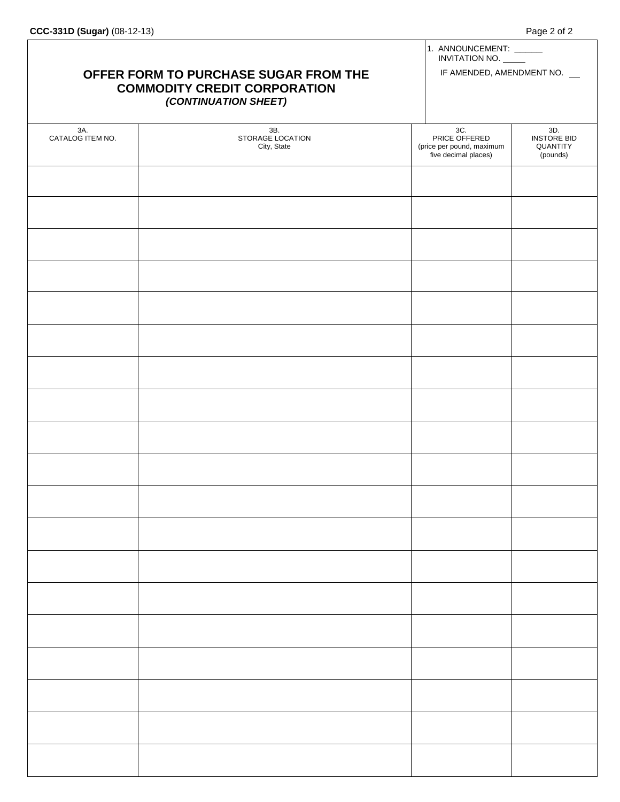| OFFER FORM TO PURCHASE SUGAR FROM THE<br><b>COMMODITY CREDIT CORPORATION</b><br>(CONTINUATION SHEET) |                                        |                                                                           | 1. ANNOUNCEMENT: _____<br>INVITATION NO.<br>IF AMENDED, AMENDMENT NO. |  |
|------------------------------------------------------------------------------------------------------|----------------------------------------|---------------------------------------------------------------------------|-----------------------------------------------------------------------|--|
| 3A.<br>CATALOG ITEM NO.                                                                              | 3B.<br>STORAGE LOCATION<br>City, State | 3C.<br>PRICE OFFERED<br>(price per pound, maximum<br>five decimal places) | 3D.<br><b>INSTORE BID</b><br>QUANTITY<br>(pounds)                     |  |
|                                                                                                      |                                        |                                                                           |                                                                       |  |
|                                                                                                      |                                        |                                                                           |                                                                       |  |
|                                                                                                      |                                        |                                                                           |                                                                       |  |
|                                                                                                      |                                        |                                                                           |                                                                       |  |
|                                                                                                      |                                        |                                                                           |                                                                       |  |
|                                                                                                      |                                        |                                                                           |                                                                       |  |
|                                                                                                      |                                        |                                                                           |                                                                       |  |
|                                                                                                      |                                        |                                                                           |                                                                       |  |
|                                                                                                      |                                        |                                                                           |                                                                       |  |
|                                                                                                      |                                        |                                                                           |                                                                       |  |
|                                                                                                      |                                        |                                                                           |                                                                       |  |
|                                                                                                      |                                        |                                                                           |                                                                       |  |
|                                                                                                      |                                        |                                                                           |                                                                       |  |
|                                                                                                      |                                        |                                                                           |                                                                       |  |
|                                                                                                      |                                        |                                                                           |                                                                       |  |
|                                                                                                      |                                        |                                                                           |                                                                       |  |
|                                                                                                      |                                        |                                                                           |                                                                       |  |
|                                                                                                      |                                        |                                                                           |                                                                       |  |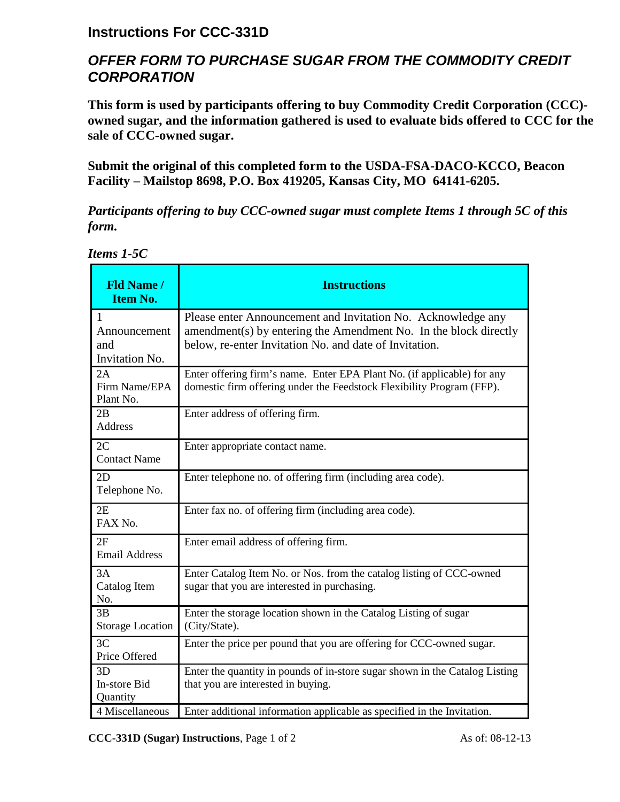## **Instructions For CCC-331D**

# *OFFER FORM TO PURCHASE SUGAR FROM THE COMMODITY CREDIT CORPORATION*

**This form is used by participants offering to buy Commodity Credit Corporation (CCC) owned sugar, and the information gathered is used to evaluate bids offered to CCC for the sale of CCC-owned sugar.** 

**Submit the original of this completed form to the USDA-FSA-DACO-KCCO, Beacon Facility – Mailstop 8698, P.O. Box 419205, Kansas City, MO 64141-6205.** 

*Participants offering to buy CCC-owned sugar must complete Items 1 through 5C of this form.*

| <b>Fld Name /</b><br><b>Item No.</b>                  | <b>Instructions</b>                                                                                                                                                                        |
|-------------------------------------------------------|--------------------------------------------------------------------------------------------------------------------------------------------------------------------------------------------|
| $\mathbf{1}$<br>Announcement<br>and<br>Invitation No. | Please enter Announcement and Invitation No. Acknowledge any<br>amendment(s) by entering the Amendment No. In the block directly<br>below, re-enter Invitation No. and date of Invitation. |
| 2A<br>Firm Name/EPA<br>Plant No.                      | Enter offering firm's name. Enter EPA Plant No. (if applicable) for any<br>domestic firm offering under the Feedstock Flexibility Program (FFP).                                           |
| 2B<br><b>Address</b>                                  | Enter address of offering firm.                                                                                                                                                            |
| 2C<br><b>Contact Name</b>                             | Enter appropriate contact name.                                                                                                                                                            |
| 2D<br>Telephone No.                                   | Enter telephone no. of offering firm (including area code).                                                                                                                                |
| 2E<br>FAX No.                                         | Enter fax no. of offering firm (including area code).                                                                                                                                      |
| 2F<br><b>Email Address</b>                            | Enter email address of offering firm.                                                                                                                                                      |
| 3A<br>Catalog Item<br>No.                             | Enter Catalog Item No. or Nos. from the catalog listing of CCC-owned<br>sugar that you are interested in purchasing.                                                                       |
| 3B<br><b>Storage Location</b>                         | Enter the storage location shown in the Catalog Listing of sugar<br>(City/State).                                                                                                          |
| 3C<br>Price Offered                                   | Enter the price per pound that you are offering for CCC-owned sugar.                                                                                                                       |
| 3D<br>In-store Bid<br>Quantity                        | Enter the quantity in pounds of in-store sugar shown in the Catalog Listing<br>that you are interested in buying.                                                                          |
| 4 Miscellaneous                                       | Enter additional information applicable as specified in the Invitation.                                                                                                                    |

| Items 1-5C |  |
|------------|--|
|------------|--|

**CCC-331D (Sugar) Instructions**, Page 1 of 2 As of: 08-12-13